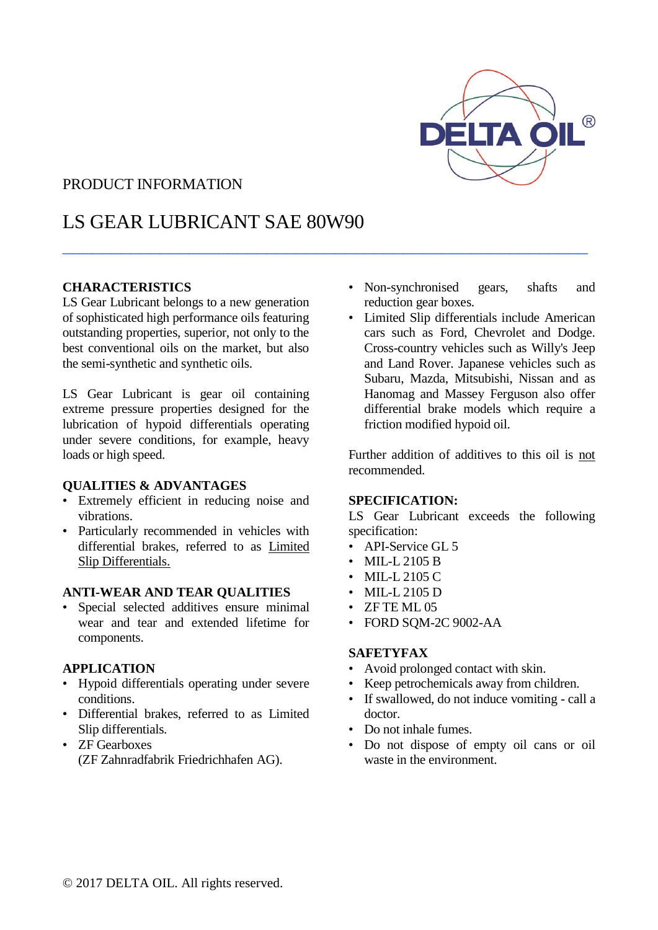

### PRODUCT INFORMATION

## LS GEAR LUBRICANT SAE 80W90

 $\_$  . The contract of the contract of the contract of the contract of the contract of the contract of the contract of the contract of the contract of the contract of the contract of the contract of the contract of the con

#### **CHARACTERISTICS**

LS Gear Lubricant belongs to a new generation of sophisticated high performance oils featuring outstanding properties, superior, not only to the best conventional oils on the market, but also the semi-synthetic and synthetic oils.

LS Gear Lubricant is gear oil containing extreme pressure properties designed for the lubrication of hypoid differentials operating under severe conditions, for example, heavy loads or high speed.

#### **QUALITIES & ADVANTAGES**

- Extremely efficient in reducing noise and vibrations.
- Particularly recommended in vehicles with differential brakes, referred to as Limited Slip Differentials.

#### **ANTI-WEAR AND TEAR QUALITIES**

Special selected additives ensure minimal wear and tear and extended lifetime for components.

#### **APPLICATION**

- Hypoid differentials operating under severe conditions.
- Differential brakes, referred to as Limited Slip differentials.
- ZF Gearboxes (ZF Zahnradfabrik Friedrichhafen AG).
- Non-synchronised gears, shafts and reduction gear boxes.
- Limited Slip differentials include American cars such as Ford, Chevrolet and Dodge. Cross-country vehicles such as Willy's Jeep and Land Rover. Japanese vehicles such as Subaru, Mazda, Mitsubishi, Nissan and as Hanomag and Massey Ferguson also offer differential brake models which require a friction modified hypoid oil.

Further addition of additives to this oil is not recommended.

#### **SPECIFICATION:**

LS Gear Lubricant exceeds the following specification:

- API-Service GL 5
- MIL-L 2105 B
- MIL-L 2105 C
- MIL-L 2105 D
- ZF TE ML 05
- FORD SQM-2C 9002-AA

#### **SAFETYFAX**

- Avoid prolonged contact with skin.
- Keep petrochemicals away from children.
- If swallowed, do not induce vomiting call a doctor.
- Do not inhale fumes.
- Do not dispose of empty oil cans or oil waste in the environment.